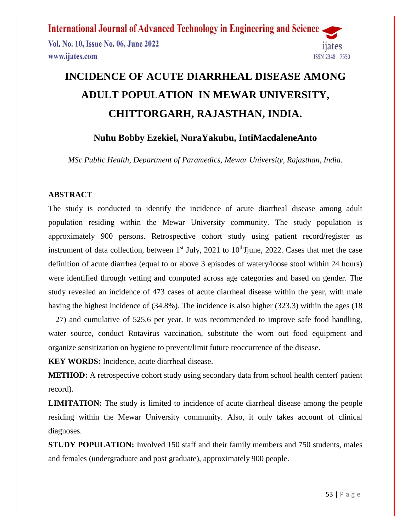**International Journal of Advanced Technology in Engineering and Science** Vol. No. 10, Issue No. 06, June 2022 www.ijates.com ISSN 2348 - 7550

# **INCIDENCE OF ACUTE DIARRHEAL DISEASE AMONG ADULT POPULATION IN MEWAR UNIVERSITY, CHITTORGARH, RAJASTHAN, INDIA.**

# **Nuhu Bobby Ezekiel, NuraYakubu, IntiMacdaleneAnto**

*MSc Public Health, Department of Paramedics, Mewar University, Rajasthan, India.*

### **ABSTRACT**

The study is conducted to identify the incidence of acute diarrheal disease among adult population residing within the Mewar University community. The study population is approximately 900 persons. Retrospective cohort study using patient record/register as instrument of data collection, between  $1<sup>st</sup>$  July, 2021 to  $10<sup>th</sup>$  Jjune, 2022. Cases that met the case definition of acute diarrhea (equal to or above 3 episodes of watery/loose stool within 24 hours) were identified through vetting and computed across age categories and based on gender. The study revealed an incidence of 473 cases of acute diarrheal disease within the year, with male having the highest incidence of (34.8%). The incidence is also higher (323.3) within the ages (18 – 27) and cumulative of 525.6 per year. It was recommended to improve safe food handling, water source, conduct Rotavirus vaccination, substitute the worn out food equipment and organize sensitization on hygiene to prevent/limit future reoccurrence of the disease.

**KEY WORDS:** Incidence, acute diarrheal disease.

**METHOD:** A retrospective cohort study using secondary data from school health center( patient record).

**LIMITATION:** The study is limited to incidence of acute diarrheal disease among the people residing within the Mewar University community. Also, it only takes account of clinical diagnoses.

**STUDY POPULATION:** Involved 150 staff and their family members and 750 students, males and females (undergraduate and post graduate), approximately 900 people.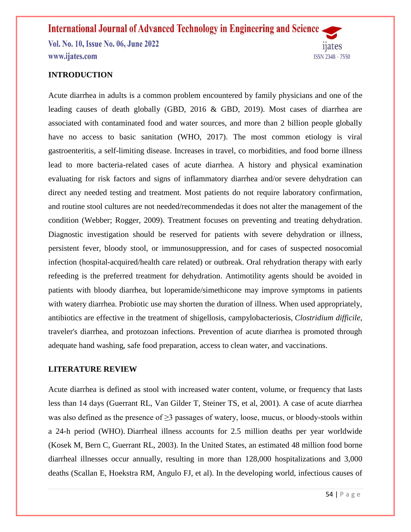Vol. No. 10, Issue No. 06, June 2022 www.ijates.com

### **INTRODUCTION**

Acute diarrhea in adults is a common problem encountered by family physicians and one of the leading causes of death globally (GBD, 2016 & GBD, 2019). Most cases of diarrhea are associated with contaminated food and water sources, and more than 2 billion people globally have no access to basic sanitation (WHO, 2017). The most common etiology is viral gastroenteritis, a self-limiting disease. Increases in travel, co morbidities, and food borne illness lead to more bacteria-related cases of acute diarrhea. A history and physical examination evaluating for risk factors and signs of inflammatory diarrhea and/or severe dehydration can direct any needed testing and treatment. Most patients do not require laboratory confirmation, and routine stool cultures are not needed/recommendedas it does not alter the management of the condition (Webber; Rogger, 2009). Treatment focuses on preventing and treating dehydration. Diagnostic investigation should be reserved for patients with severe dehydration or illness, persistent fever, bloody stool, or immunosuppression, and for cases of suspected nosocomial infection (hospital-acquired/health care related) or outbreak. Oral rehydration therapy with early refeeding is the preferred treatment for dehydration. Antimotility agents should be avoided in patients with bloody diarrhea, but loperamide/simethicone may improve symptoms in patients with watery diarrhea. Probiotic use may shorten the duration of illness. When used appropriately, antibiotics are effective in the treatment of shigellosis, campylobacteriosis, *Clostridium difficile*, traveler's diarrhea, and protozoan infections. Prevention of acute diarrhea is promoted through adequate hand washing, safe food preparation, access to clean water, and vaccinations.

### **LITERATURE REVIEW**

Acute diarrhea is defined as stool with increased water content, volume, or frequency that lasts less than 14 days (Guerrant RL, Van Gilder T, Steiner TS, et al, 2001). A case of acute diarrhea was also defined as the presence of ≥3 passages of watery, loose, mucus, or bloody-stools within a 24-h period (WHO). Diarrheal illness accounts for 2.5 million deaths per year worldwide (Kosek M, Bern C, Guerrant RL, 2003). In the United States, an estimated 48 million food borne diarrheal illnesses occur annually, resulting in more than 128,000 hospitalizations and 3,000 deaths (Scallan E, Hoekstra RM, Angulo FJ, et al). In the developing world, infectious causes of

ISSN 2348 - 7550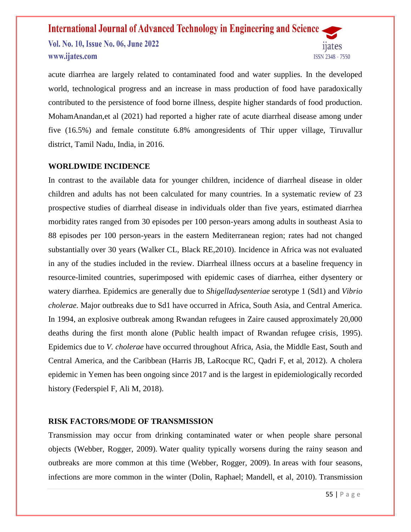Vol. No. 10, Issue No. 06, June 2022 www.ijates.com



acute diarrhea are largely related to contaminated food and water supplies. In the developed world, technological progress and an increase in mass production of food have paradoxically contributed to the persistence of food borne illness, despite higher standards of food production. MohamAnandan,et al (2021) had reported a higher rate of acute diarrheal disease among under five (16.5%) and female constitute 6.8% amongresidents of Thir upper village, Tiruvallur district, Tamil Nadu, India, in 2016.

### **WORLDWIDE INCIDENCE**

In contrast to the available data for younger children, incidence of diarrheal disease in older children and adults has not been calculated for many countries. In a systematic review of 23 prospective studies of diarrheal disease in individuals older than five years, estimated diarrhea morbidity rates ranged from 30 episodes per 100 person-years among adults in southeast Asia to 88 episodes per 100 person-years in the eastern Mediterranean region; rates had not changed substantially over 30 years [\(Walker CL, Black RE,](https://www.uptodate.com/contents/approach-to-the-adult-with-acute-diarrhea-in-resource-limited-countries/abstract/9)2010). Incidence in Africa was not evaluated in any of the studies included in the review. Diarrheal illness occurs at a baseline frequency in resource-limited countries, superimposed with epidemic cases of diarrhea, either dysentery or watery diarrhea. Epidemics are generally due to *Shigelladysenteriae* serotype 1 (Sd1) and *Vibrio cholerae*. Major outbreaks due to Sd1 have occurred in Africa, South Asia, and Central America. In 1994, an explosive outbreak among Rwandan refugees in Zaire caused approximately 20,000 deaths during the first month alone [\(Public health impact of Rwandan refugee crisis,](https://www.uptodate.com/contents/approach-to-the-adult-with-acute-diarrhea-in-resource-limited-countries/abstract/10) 1995). Epidemics due to *V. cholerae* have occurred throughout Africa, Asia, the Middle East, South and Central America, and the Caribbean (Harris JB, LaRocque RC, Qadri F, et al, 2012). A cholera epidemic in Yemen has been ongoing since 2017 and is the largest in epidemiologically recorded history (Federspiel F, Ali M, 2018).

### **RISK FACTORS/MODE OF TRANSMISSION**

Transmission may occur from drinking contaminated water or when people share personal objects (Webber, Rogger, 2009). Water quality typically worsens during the rainy season and outbreaks are more common at this time (Webber, Rogger, 2009). In [areas with four seasons,](https://en.wikipedia.org/wiki/Temperateness) infections are more common in the winter (Dolin, Raphael; Mandell, et al, 2010). Transmission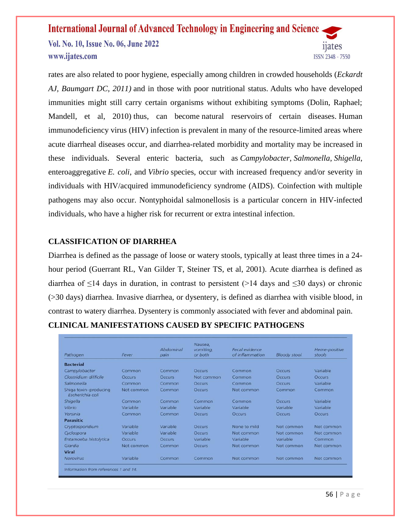Vol. No. 10, Issue No. 06, June 2022 www.ijates.com

rates are also related to poor hygiene, especially among children in crowded households (*Eckardt AJ, Baumgart DC, 2011)* and in those with poor nutritional status. Adults who have developed immunities might still carry certain organisms without exhibiting symptoms (Dolin, Raphael; Mandell, et al, 2010) thus, can become [natural reservoirs](https://en.wikipedia.org/wiki/Natural_reservoirs) of certain diseases. Human immunodeficiency virus (HIV) infection is prevalent in many of the resource-limited areas where acute diarrheal diseases occur, and diarrhea-related morbidity and mortality may be increased in these individuals. Several enteric bacteria, such as *Campylobacter*, *Salmonella*, *Shigella*, enteroaggregative *E. coli*, and *Vibrio* species, occur with increased frequency and/or severity in individuals with HIV/acquired immunodeficiency syndrome (AIDS). Coinfection with multiple pathogens may also occur. Nontyphoidal salmonellosis is a particular concern in HIV-infected individuals, who have a higher risk for recurrent or extra intestinal infection.

### **CLASSIFICATION OF DIARRHEA**

Diarrhea is defined as the passage of loose or watery stools, typically at least three times in a 24 hour period (Guerrant RL, Van Gilder T, Steiner TS, et al, 2001). Acute diarrhea is defined as diarrhea of  $\leq$ 14 days in duration, in contrast to persistent (>14 days and  $\leq$ 30 days) or chronic (>30 days) diarrhea. Invasive diarrhea, or dysentery, is defined as diarrhea with visible blood, in contrast to watery diarrhea. Dysentery is commonly associated with fever and abdominal pain.

| Pathogen                                  | Fever         | Abdominal<br>pain | Nausea,<br>vomiting,<br>or both | Fecal evidence<br>of inflammation | <b>Bloody stool</b> | Heme-positive<br>stools |  |
|-------------------------------------------|---------------|-------------------|---------------------------------|-----------------------------------|---------------------|-------------------------|--|
| <b>Bacterial</b>                          |               |                   |                                 |                                   |                     |                         |  |
| Campylobacter                             | Common        | Common            | Occurs                          | Common                            | <b>Occurs</b>       | Variable                |  |
| Clostridium difficile                     | <b>Occurs</b> | <b>Occurs</b>     | Not common                      | Common                            | <b>Occurs</b>       | <b>Occurs</b>           |  |
| Salmonella                                | Common        | Common            | <b>Occurs</b>                   | Common                            | Occurs              | Variable                |  |
| Shiga toxin-producing<br>Escherichia coli | Not common    | Common            | <b>Occurs</b>                   | Not common                        | Common              | Common                  |  |
| Shigella                                  | Common        | Common            | Common                          | Common                            | <b>Occurs</b>       | Variable                |  |
| Vibrio                                    | Variable      | Variable          | Variable                        | Variable                          | Variable            | Variable                |  |
| Yersinia                                  | Common        | Common            | <b>Occurs</b>                   | <b>Occurs</b>                     | <b>Occurs</b>       | <b>Occurs</b>           |  |
| <b>Parasitic</b>                          |               |                   |                                 |                                   |                     |                         |  |
| Cryptosporidium                           | Variable      | Variable          | <b>Occurs</b>                   | None to mild                      | Not common          | Not common              |  |
| Cyclospora                                | Variable      | Variable          | <b>Occurs</b>                   | Not common                        | Not common          | Not common              |  |
| Entamoeba histolytica                     | <b>Occurs</b> | <b>Occurs</b>     | Variable                        | Variable                          | Variable            | Common                  |  |
| Giardia                                   | Not common    | Common            | <b>Occurs</b>                   | Not common                        | Not common          | Not common              |  |
| Viral                                     |               |                   |                                 |                                   |                     |                         |  |
| <b>Norovirus</b>                          | Variable      | Common            | Common                          | Not common                        | Not common          | Not common              |  |

ISSN 2348 - 7550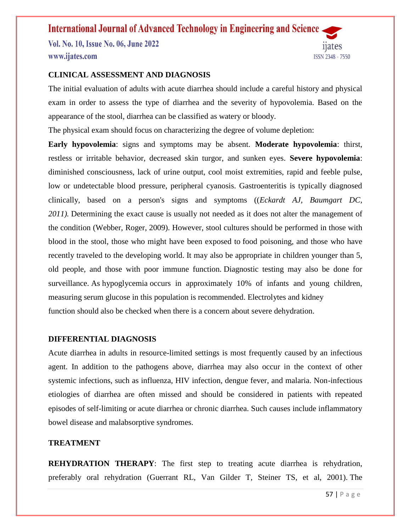Vol. No. 10, Issue No. 06, June 2022 www.ijates.com



### **CLINICAL ASSESSMENT AND DIAGNOSIS**

The initial evaluation of adults with acute diarrhea should include a careful history and physical exam in order to assess the type of diarrhea and the severity of hypovolemia. Based on the appearance of the stool, diarrhea can be classified as watery or bloody.

The physical exam should focus on characterizing the degree of volume depletion:

**Early hypovolemia**: signs and symptoms may be absent. **Moderate hypovolemia**: thirst, restless or irritable behavior, decreased skin turgor, and sunken eyes. **Severe hypovolemia**: diminished consciousness, lack of urine output, cool moist extremities, rapid and feeble pulse, low or undetectable blood pressure, peripheral cyanosis. Gastroenteritis is typically diagnosed clinically, based on a person's signs and symptoms ((*Eckardt AJ, Baumgart DC, 2011).* Determining the exact cause is usually not needed as it does not alter the management of the condition (Webber, Roger, 2009). However, [stool cultures](https://en.wikipedia.org/wiki/Stool_culture) should be performed in those with blood in the stool, those who might have been exposed to [food poisoning,](https://en.wikipedia.org/wiki/Food_poisoning) and those who have recently traveled to the developing world. It may also be appropriate in children younger than 5, old people, and those with poor immune function. Diagnostic testing may also be done for surveillance. As [hypoglycemia](https://en.wikipedia.org/wiki/Hypoglycemia) occurs in approximately 10% of infants and young children, measuring serum [glucose](https://en.wikipedia.org/wiki/Glucose) in this population is recommended. [Electrolytes](https://en.wikipedia.org/wiki/Electrolytes) and [kidney](https://en.wikipedia.org/wiki/Creatinine) [function](https://en.wikipedia.org/wiki/Creatinine) should also be checked when there is a concern about severe dehydration.

### **DIFFERENTIAL DIAGNOSIS**

Acute diarrhea in adults in resource-limited settings is most frequently caused by an infectious agent. In addition to the pathogens above, diarrhea may also occur in the context of other systemic infections, such as influenza, HIV infection, dengue fever, and malaria. Non-infectious etiologies of diarrhea are often missed and should be considered in patients with repeated episodes of self-limiting or acute diarrhea or chronic diarrhea. Such causes include inflammatory bowel disease and malabsorptive syndromes.

### **TREATMENT**

**REHYDRATION THERAPY**: The first step to treating acute diarrhea is rehydration, preferably oral rehydration (Guerrant RL, Van Gilder T, Steiner TS, et al, 2001). The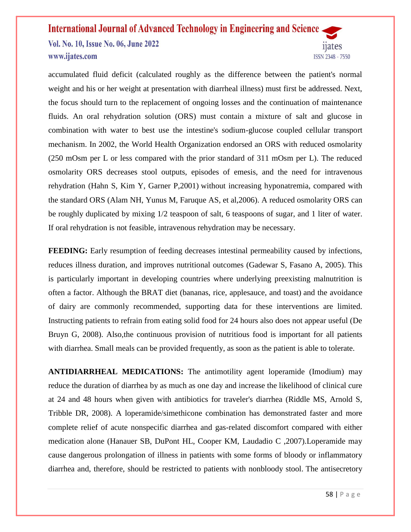Vol. No. 10, Issue No. 06, June 2022 www.ijates.com



accumulated fluid deficit (calculated roughly as the difference between the patient's normal weight and his or her weight at presentation with diarrheal illness) must first be addressed. Next, the focus should turn to the replacement of ongoing losses and the continuation of maintenance fluids. An oral rehydration solution (ORS) must contain a mixture of salt and glucose in combination with water to best use the intestine's sodium-glucose coupled cellular transport mechanism. In 2002, the World Health Organization endorsed an ORS with reduced osmolarity (250 mOsm per L or less compared with the prior standard of 311 mOsm per L). The reduced osmolarity ORS decreases stool outputs, episodes of emesis, and the need for intravenous rehydration (Hahn S, Kim Y, Garner P,2001) without increasing hyponatremia, compared with the standard ORS (Alam NH, Yunus M, Faruque AS, et al,2006). A reduced osmolarity ORS can be roughly duplicated by mixing 1/2 teaspoon of salt, 6 teaspoons of sugar, and 1 liter of water. If oral rehydration is not feasible, intravenous rehydration may be necessary.

**FEEDING:** Early resumption of feeding decreases intestinal permeability caused by infections, reduces illness duration, and improves nutritional outcomes (Gadewar S, Fasano A, 2005). This is particularly important in developing countries where underlying preexisting malnutrition is often a factor. Although the [BRAT diet \(bananas, rice, applesauce, and toast\)](https://familydoctor.org/brat-diet-recovering-from-an-upset-stomach/) and the avoidance of dairy are commonly recommended, supporting data for these interventions are limited. Instructing patients to refrain from eating solid food for 24 hours also does not appear useful (De Bruyn G, 2008). Also,the continuous provision of nutritious food is important for all patients with diarrhea. Small meals can be provided frequently, as soon as the patient is able to tolerate.

**ANTIDIARRHEAL MEDICATIONS:** The antimotility agent loperamide (Imodium) may reduce the duration of diarrhea by as much as one day and increase the likelihood of clinical cure at 24 and 48 hours when given with antibiotics for traveler's diarrhea (Riddle MS, Arnold S, Tribble DR, 2008). A loperamide/simethicone combination has demonstrated faster and more complete relief of acute nonspecific diarrhea and gas-related discomfort compared with either medication alone (Hanauer SB, DuPont HL, Cooper KM, Laudadio C ,2007).Loperamide may cause dangerous prolongation of illness in patients with some forms of bloody or inflammatory diarrhea and, therefore, should be restricted to patients with nonbloody stool. The antisecretory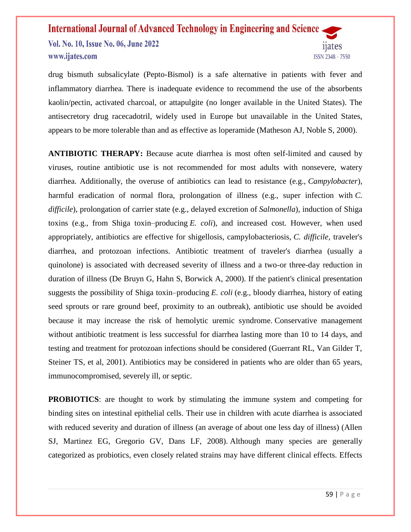Vol. No. 10, Issue No. 06, June 2022 www.ijates.com



drug bismuth subsalicylate (Pepto-Bismol) is a safe alternative in patients with fever and inflammatory diarrhea. There is inadequate evidence to recommend the use of the absorbents kaolin/pectin, activated charcoal, or attapulgite (no longer available in the United States). The antisecretory drug racecadotril, widely used in Europe but unavailable in the United States, appears to be more tolerable than and as effective as loperamide (Matheson AJ, Noble S, 2000).

**ANTIBIOTIC THERAPY:** Because acute diarrhea is most often self-limited and caused by viruses, routine antibiotic use is not recommended for most adults with nonsevere, watery diarrhea. Additionally, the overuse of antibiotics can lead to resistance (e.g., *Campylobacter*), harmful eradication of normal flora, prolongation of illness (e.g., super infection with *C. difficile*), prolongation of carrier state (e.g., delayed excretion of *Salmonella*), induction of Shiga toxins (e.g., from Shiga toxin–producing *E. coli*), and increased cost. However, when used appropriately, antibiotics are effective for shigellosis, campylobacteriosis, *C. difficile*, traveler's diarrhea, and protozoan infections. Antibiotic treatment of traveler's diarrhea (usually a quinolone) is associated with decreased severity of illness and a two-or three-day reduction in duration of illness (De Bruyn G, Hahn S, Borwick A, 2000). If the patient's clinical presentation suggests the possibility of Shiga toxin–producing *E. coli* (e.g., bloody diarrhea, history of eating seed sprouts or rare ground beef, proximity to an outbreak), antibiotic use should be avoided because it may increase the risk of hemolytic uremic syndrome. Conservative management without antibiotic treatment is less successful for diarrhea lasting more than 10 to 14 days, and testing and treatment for protozoan infections should be considered (Guerrant RL, Van Gilder T, Steiner TS, et al, 2001). Antibiotics may be considered in patients who are older than 65 years, immunocompromised, severely ill, or septic.

**PROBIOTICS**: are thought to work by stimulating the immune system and competing for binding sites on intestinal epithelial cells. Their use in children with acute diarrhea is associated with reduced severity and duration of illness (an average of about one less day of illness) (Allen SJ, Martinez EG, Gregorio GV, Dans LF, 2008). Although many species are generally categorized as probiotics, even closely related strains may have different clinical effects. Effects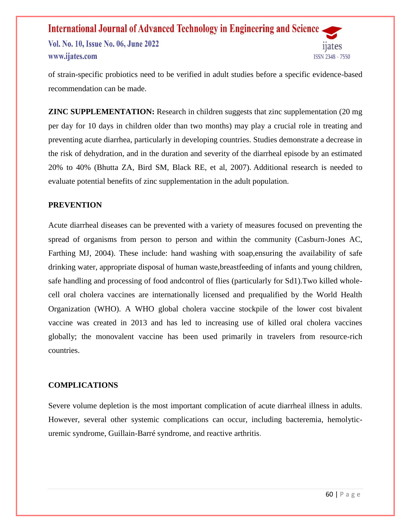### **International Journal of Advanced Technology in Engineering and Science** Vol. No. 10, Issue No. 06, June 2022 www.ijates.com ISSN 2348 - 7550

of strain-specific probiotics need to be verified in adult studies before a specific evidence-based recommendation can be made.

**ZINC SUPPLEMENTATION:** Research in children suggests that zinc supplementation (20 mg) per day for 10 days in children older than two months) may play a crucial role in treating and preventing acute diarrhea, particularly in developing countries. Studies demonstrate a decrease in the risk of dehydration, and in the duration and severity of the diarrheal episode by an estimated 20% to 40% (Bhutta ZA, Bird SM, Black RE, et al, 2007). Additional research is needed to evaluate potential benefits of zinc supplementation in the adult population.

### **PREVENTION**

Acute diarrheal diseases can be prevented with a variety of measures focused on preventing the spread of organisms from person to person and within the community (Casburn-Jones AC, Farthing MJ, 2004). These include: hand washing with soap,ensuring the availability of safe drinking water, appropriate disposal of human waste,breastfeeding of infants and young children, safe handling and processing of food andcontrol of flies (particularly for Sd1).Two killed wholecell oral cholera vaccines are internationally licensed and prequalified by the World Health Organization (WHO). A WHO global cholera vaccine stockpile of the lower cost bivalent vaccine was created in 2013 and has led to increasing use of killed oral cholera vaccines globally; the monovalent vaccine has been used primarily in travelers from resource-rich countries.

### **COMPLICATIONS**

Severe volume depletion is the most important complication of acute diarrheal illness in adults. However, several other systemic complications can occur, including bacteremia, hemolyticuremic syndrome, Guillain-Barré syndrome, and reactive arthritis.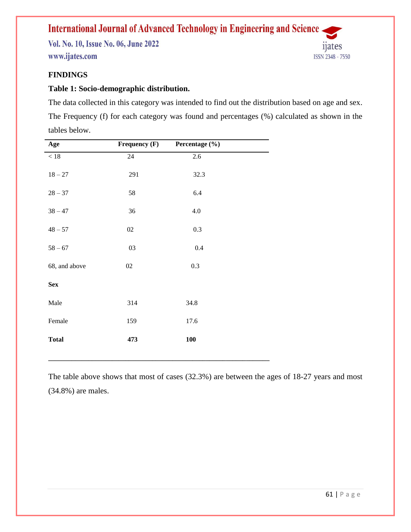Vol. No. 10, Issue No. 06, June 2022 www.ijates.com



### **FINDINGS**

### **Table 1: Socio-demographic distribution.**

The data collected in this category was intended to find out the distribution based on age and sex. The Frequency (f) for each category was found and percentages (%) calculated as shown in the tables below.

| Age           | Frequency (F) | Percentage (%) |  |
|---------------|---------------|----------------|--|
| $<18$         | $24\,$        | $2.6\,$        |  |
| $18 - 27$     | 291           | 32.3           |  |
| $28 - 37$     | 58            | 6.4            |  |
| $38 - 47$     | 36            | $4.0\,$        |  |
| $48 - 57$     | $02\,$        | 0.3            |  |
| $58 - 67$     | 03            | 0.4            |  |
| 68, and above | $02\,$        | 0.3            |  |
| <b>Sex</b>    |               |                |  |
| Male          | 314           | 34.8           |  |
| Female        | 159           | 17.6           |  |
| <b>Total</b>  | 473           | <b>100</b>     |  |
|               |               |                |  |

The table above shows that most of cases (32.3%) are between the ages of 18-27 years and most (34.8%) are males.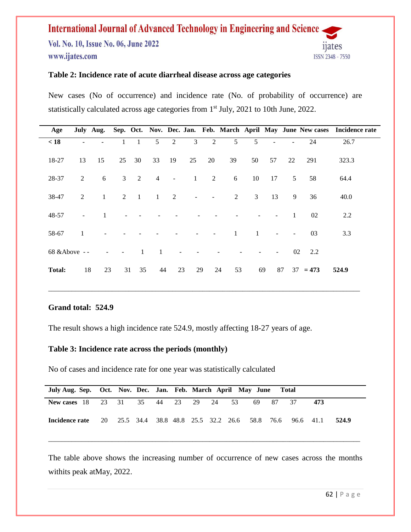Vol. No. 10, Issue No. 06, June 2022 www.ijates.com



### **Table 2: Incidence rate of acute diarrheal disease across age categories**

New cases (No of occurrence) and incidence rate (No. of probability of occurrence) are statistically calculated across age categories from 1<sup>st</sup> July, 2021 to 10th June, 2022.

| Age           |                |                |                          |                |                |                          |                          |                |                |                |                          |                |            | July Aug. Sep. Oct. Nov. Dec. Jan. Feb. March April May June New cases Incidence rate |
|---------------|----------------|----------------|--------------------------|----------------|----------------|--------------------------|--------------------------|----------------|----------------|----------------|--------------------------|----------------|------------|---------------------------------------------------------------------------------------|
| < 18          |                |                |                          |                | 5 <sup>5</sup> | 2                        | 3                        | $\overline{c}$ | 5              | 5              | ÷                        |                | 24         | 26.7                                                                                  |
| 18-27         | 13             | 15             | 25                       | 30             | 33             | 19                       | 25                       | 20             | 39             | 50             | 57                       | 22             | 291        | 323.3                                                                                 |
| 28-37         | 2              | 6              |                          | $3 \quad 2$    | $\overline{4}$ | $\blacksquare$           | $\mathbf{1}$             | 2              | 6              | 10             | 17                       | 5 <sup>5</sup> | 58         | 64.4                                                                                  |
| 38-47         | 2              | $\mathbf{1}$   |                          | $2 \quad 1$    | $\sim$ 1       | $\overline{2}$           | $\overline{\phantom{a}}$ | $\blacksquare$ | $\overline{2}$ | 3 <sup>7</sup> | 13                       | 9              | 36         | 40.0                                                                                  |
| 48-57         | $\blacksquare$ | -1             |                          |                |                |                          |                          |                |                |                |                          | $\overline{1}$ | 02         | 2.2                                                                                   |
| 58-67         | $\lceil$       | $\blacksquare$ |                          |                |                |                          | $\blacksquare$           | $\sim$         | $\mathbf{1}$   | $\overline{1}$ | $\overline{\phantom{a}}$ | $\blacksquare$ | 03         | 3.3                                                                                   |
|               | 68 & Above --  |                | $\overline{\phantom{a}}$ | $\overline{1}$ | $\blacksquare$ | $\overline{\phantom{a}}$ |                          |                |                |                |                          |                | 02 2.2     |                                                                                       |
| <b>Total:</b> | 18             | 23             |                          | 31 35          | 44             | 23                       |                          | 29             | 24<br>53       |                | 69                       | 87             | $37 = 473$ | 524.9                                                                                 |

\_\_\_\_\_\_\_\_\_\_\_\_\_\_\_\_\_\_\_\_\_\_\_\_\_\_\_\_\_\_\_\_\_\_\_\_\_\_\_\_\_\_\_\_\_\_\_\_\_\_\_\_\_\_\_\_\_\_\_\_\_\_\_\_\_\_\_\_\_\_\_\_\_\_\_\_\_\_\_\_\_\_\_\_\_\_\_\_\_\_\_\_\_

### **Grand total: 524.9**

The result shows a high incidence rate 524.9, mostly affecting 18-27 years of age.

### **Table 3: Incidence rate across the periods (monthly)**

No of cases and incidence rate for one year was statistically calculated

| July Aug. Sep. Oct. Nov. Dec. Jan. Feb. March April May June Total              |  |  |  |  |          |     |       |
|---------------------------------------------------------------------------------|--|--|--|--|----------|-----|-------|
| New cases 18 23 31 35 44 23 29 24 53                                            |  |  |  |  | 69 87 37 | 473 |       |
| <b>Incidence rate</b> 20 25.5 34.4 38.8 48.8 25.5 32.2 26.6 58.8 76.6 96.6 41.1 |  |  |  |  |          |     | 524.9 |

The table above shows the increasing number of occurrence of new cases across the months withits peak atMay, 2022.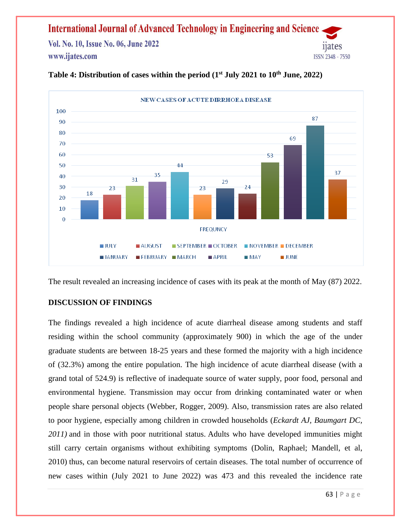Vol. No. 10, Issue No. 06, June 2022 www.ijates.com



### **Table 4: Distribution of cases within the period (1st July 2021 to 10th June, 2022)**

The result revealed an increasing incidence of cases with its peak at the month of May (87) 2022.

### **DISCUSSION OF FINDINGS**

The findings revealed a high incidence of acute diarrheal disease among students and staff residing within the school community (approximately 900) in which the age of the under graduate students are between 18-25 years and these formed the majority with a high incidence of (32.3%) among the entire population. The high incidence of acute diarrheal disease (with a grand total of 524.9) is reflective of inadequate source of water supply, poor food, personal and environmental hygiene. Transmission may occur from drinking contaminated water or when people share personal objects (Webber, Rogger, 2009). Also, transmission rates are also related to poor hygiene, especially among children in crowded households (*Eckardt AJ, Baumgart DC, 2011)* and in those with poor nutritional status. Adults who have developed immunities might still carry certain organisms without exhibiting symptoms (Dolin, Raphael; Mandell, et al, 2010) thus, can become [natural reservoirs](https://en.wikipedia.org/wiki/Natural_reservoirs) of certain diseases. The total number of occurrence of new cases within (July 2021 to June 2022) was 473 and this revealed the incidence rate

ISSN 2348 - 7550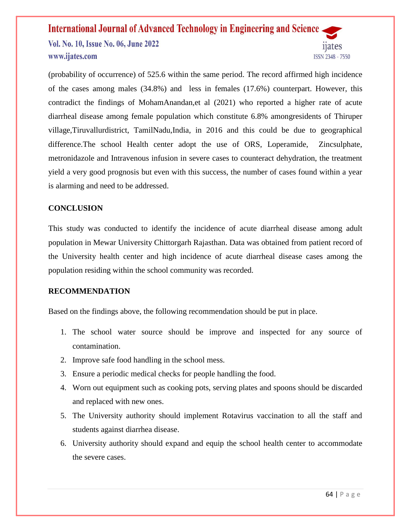Vol. No. 10, Issue No. 06, June 2022 www.ijates.com

ISSN 2348 - 7550

(probability of occurrence) of 525.6 within the same period. The record affirmed high incidence of the cases among males (34.8%) and less in females (17.6%) counterpart. However, this contradict the findings of MohamAnandan,et al (2021) who reported a higher rate of acute diarrheal disease among female population which constitute 6.8% amongresidents of Thiruper village,Tiruvallurdistrict, TamilNadu,India, in 2016 and this could be due to geographical difference.The school Health center adopt the use of ORS, Loperamide, Zincsulphate, metronidazole and Intravenous infusion in severe cases to counteract dehydration, the treatment yield a very good prognosis but even with this success, the number of cases found within a year is alarming and need to be addressed.

### **CONCLUSION**

This study was conducted to identify the incidence of acute diarrheal disease among adult population in Mewar University Chittorgarh Rajasthan. Data was obtained from patient record of the University health center and high incidence of acute diarrheal disease cases among the population residing within the school community was recorded.

### **RECOMMENDATION**

Based on the findings above, the following recommendation should be put in place.

- 1. The school water source should be improve and inspected for any source of contamination.
- 2. Improve safe food handling in the school mess.
- 3. Ensure a periodic medical checks for people handling the food.
- 4. Worn out equipment such as cooking pots, serving plates and spoons should be discarded and replaced with new ones.
- 5. The University authority should implement Rotavirus vaccination to all the staff and students against diarrhea disease.
- 6. University authority should expand and equip the school health center to accommodate the severe cases.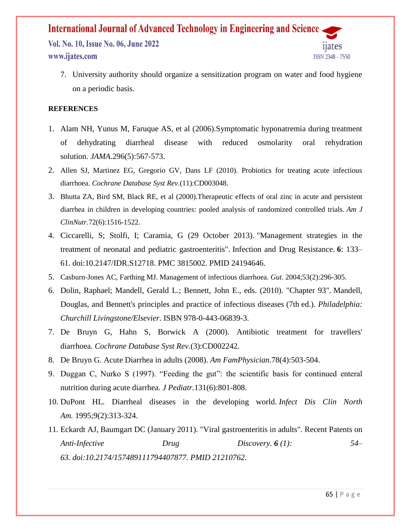Vol. No. 10, Issue No. 06, June 2022 www.ijates.com



7. University authority should organize a sensitization program on water and food hygiene on a periodic basis.

### **REFERENCES**

- 1. Alam NH, Yunus M, Faruque AS, et al (2006).Symptomatic hyponatremia during treatment of dehydrating diarrheal disease with reduced osmolarity oral rehydration solution. *JAMA.*296(5):567-573.
- 2. Allen SJ, Martinez EG, Gregorio GV, Dans LF (2010). Probiotics for treating acute infectious diarrhoea. *Cochrane Database Syst Rev.*(11):CD003048.
- 3. Bhutta ZA, Bird SM, Black RE, et al (2000).Therapeutic effects of oral zinc in acute and persistent diarrhea in children in developing countries: pooled analysis of randomized controlled trials. *Am J ClinNutr.*72(6):1516-1522.
- 4. Ciccarelli, S; Stolfi, I; Caramia, G (29 October 2013). ["Management strategies in the](https://www.ncbi.nlm.nih.gov/pmc/articles/PMC3815002)  [treatment of neonatal and pediatric gastroenteritis".](https://www.ncbi.nlm.nih.gov/pmc/articles/PMC3815002) [Infection and Drug Resistance.](https://en.wikipedia.org/wiki/Infection_and_Drug_Resistance) **6**: 133– 61. [doi](https://en.wikipedia.org/wiki/Doi_(identifier))[:10.2147/IDR.S12718.](https://doi.org/10.2147%2FIDR.S12718) [PMC](https://en.wikipedia.org/wiki/PMC_(identifier)) [3815002.](https://www.ncbi.nlm.nih.gov/pmc/articles/PMC3815002) [PMID](https://en.wikipedia.org/wiki/PMID_(identifier)) [24194646.](https://pubmed.ncbi.nlm.nih.gov/24194646)
- 5. Casburn-Jones AC, Farthing MJ. Management of infectious diarrhoea. *Gut*. 2004;53(2):296-305.
- 6. Dolin, Raphael; Mandell, Gerald L.; Bennett, John E., eds. (2010). "Chapter 93". Mandell, Douglas, and Bennett's principles and practice of infectious diseases (7th ed.). *Philadelphia: Churchill Livingstone/Elsevier*. [ISBN](https://en.wikipedia.org/wiki/ISBN_(identifier)) [978-0-443-06839-3.](https://en.wikipedia.org/wiki/Special:BookSources/978-0-443-06839-3)
- 7. De Bruyn G, Hahn S, Borwick A (2000). Antibiotic treatment for travellers' diarrhoea. *Cochrane Database Syst Rev.*(3):CD002242.
- 8. De Bruyn G. Acute Diarrhea in adults (2008). *Am FamPhysician.*78(4):503-504.
- 9. Duggan C, Nurko S (1997). "Feeding the gut": the scientific basis for continued enteral nutrition during acute diarrhea. *J Pediatr.*131(6):801-808.
- 10. DuPont HL. Diarrheal diseases in the developing world. *Infect Dis Clin North Am.* 1995;9(2):313-324.
- 11. Eckardt AJ, Baumgart DC (January 2011). "Viral gastroenteritis in adults". Recent Patents on *Anti-Infective Drug Discovery. 6 (1): 54– 63. [doi:](https://en.wikipedia.org/wiki/Doi_(identifier))[10.2174/157489111794407877.](https://doi.org/10.2174%2F157489111794407877) [PMID](https://en.wikipedia.org/wiki/PMID_(identifier)) [21210762.](https://pubmed.ncbi.nlm.nih.gov/21210762)*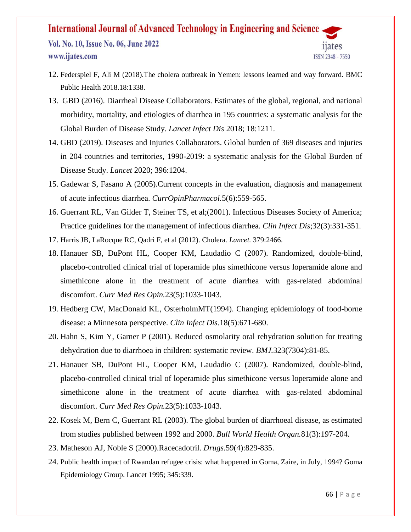Vol. No. 10, Issue No. 06, June 2022 www.ijates.com



- 12. [Federspiel F, Ali M \(2018\).The cholera outbreak in Yemen: lessons learned and way forward. BMC](https://www.uptodate.com/contents/approach-to-the-adult-with-acute-diarrhea-in-resource-limited-countries/abstract/12)  [Public Health 2018.18:1338.](https://www.uptodate.com/contents/approach-to-the-adult-with-acute-diarrhea-in-resource-limited-countries/abstract/12)
- 13. [GBD \(2016\). Diarrheal Disease Collaborators. Estimates of the global, regional, and national](https://www.uptodate.com/contents/approach-to-the-adult-with-acute-diarrhea-in-resource-limited-countries/abstract/1)  [morbidity, mortality, and etiologies of diarrhea in 195 countries: a systematic analysis for the](https://www.uptodate.com/contents/approach-to-the-adult-with-acute-diarrhea-in-resource-limited-countries/abstract/1)  [Global Burden of Disease Study.](https://www.uptodate.com/contents/approach-to-the-adult-with-acute-diarrhea-in-resource-limited-countries/abstract/1) *Lancet Infect Dis* 2018; 18:1211.
- 14. [GBD \(2019\). Diseases and Injuries Collaborators. Global burden of 369 diseases and injuries](https://www.uptodate.com/contents/approach-to-the-adult-with-acute-diarrhea-in-resource-limited-countries/abstract/2)  [in 204 countries and territories, 1990-2019: a systematic analysis for the Global Burden of](https://www.uptodate.com/contents/approach-to-the-adult-with-acute-diarrhea-in-resource-limited-countries/abstract/2)  Disease Study. *Lancet* [2020; 396:1204.](https://www.uptodate.com/contents/approach-to-the-adult-with-acute-diarrhea-in-resource-limited-countries/abstract/2)
- 15. Gadewar S, Fasano A (2005).Current concepts in the evaluation, diagnosis and management of acute infectious diarrhea. *CurrOpinPharmacol.*5(6):559-565.
- 16. Guerrant RL, Van Gilder T, Steiner TS, et al;(2001). Infectious Diseases Society of America; Practice guidelines for the management of infectious diarrhea. *Clin Infect Dis*;32(3):331-351.
- 17. [Harris JB, LaRocque RC, Qadri F, et al \(2012\). Cholera.](https://www.uptodate.com/contents/approach-to-the-adult-with-acute-diarrhea-in-resource-limited-countries/abstract/11) *Lancet.* 379:2466.
- 18. Hanauer SB, DuPont HL, Cooper KM, Laudadio C (2007). Randomized, double-blind, placebo-controlled clinical trial of loperamide plus simethicone versus loperamide alone and simethicone alone in the treatment of acute diarrhea with gas-related abdominal discomfort. *Curr Med Res Opin.*23(5):1033-1043.
- 19. Hedberg CW, MacDonald KL, OsterholmMT(1994). Changing epidemiology of food-borne disease: a Minnesota perspective. *Clin Infect Dis.*18(5):671-680.
- 20. Hahn S, Kim Y, Garner P (2001). Reduced osmolarity oral rehydration solution for treating dehydration due to diarrhoea in children: systematic review. *BMJ.*323(7304):81-85.
- 21. Hanauer SB, DuPont HL, Cooper KM, Laudadio C (2007). Randomized, double-blind, placebo-controlled clinical trial of loperamide plus simethicone versus loperamide alone and simethicone alone in the treatment of acute diarrhea with gas-related abdominal discomfort. *Curr Med Res Opin.*23(5):1033-1043.
- 22. Kosek M, Bern C, Guerrant RL (2003). The global burden of diarrhoeal disease, as estimated from studies published between 1992 and 2000. *Bull World Health Organ.*81(3):197-204.
- 23. Matheson AJ, Noble S (2000).Racecadotril. *Drugs.*59(4):829-835.
- 24. [Public health impact of Rwandan refugee crisis: what happened in Goma, Zaire, in July, 1994? Goma](https://www.uptodate.com/contents/approach-to-the-adult-with-acute-diarrhea-in-resource-limited-countries/abstract/10)  [Epidemiology Group. Lancet 1995; 345:339.](https://www.uptodate.com/contents/approach-to-the-adult-with-acute-diarrhea-in-resource-limited-countries/abstract/10)